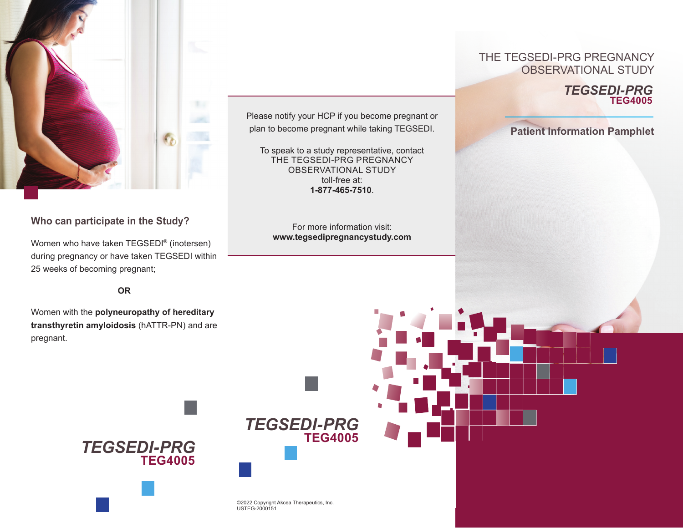

# **Who can participate in the Study?**

Women who have taken TEGSEDI® (inotersen) during pregnancy or have taken TEGSEDI within 25 weeks of becoming pregnant;

> **OR** *TEGSED*

Women with the **polyneuropathy of hereditary transthyretin amyloidosis** (hATTR-PN) and are pregnant.

Please notify your HCP if you become pregnant or plan to become pregnant while taking TEGSEDI.

To speak to a study representative, contact THE TEGSEDI-PRG PREGNANCY OBSERVATIONAL STUDY toll-free at: **1-877-465-7510**.

For more information visit: **www.tegsedipregnancystudy.com**

> **TEG4005** *TEGSEDI-PRG*

> > *Quick Reference Guide*

### **TEG4004 THE TEGSEDI-PRG PREGNANCY** OBSERVATIONAL STUDY

### **TEG4005** *TEGSEDI-PRG*

**Patient Information Pamphlet**



*TEGSEDI-24*

**TEG4004**



**TEG4005** *Quick Reference Guide*

**TEG4004**

*TEGSEDI-PRG*

*TEGSEDI-24*

*TEGSEDI-REG*